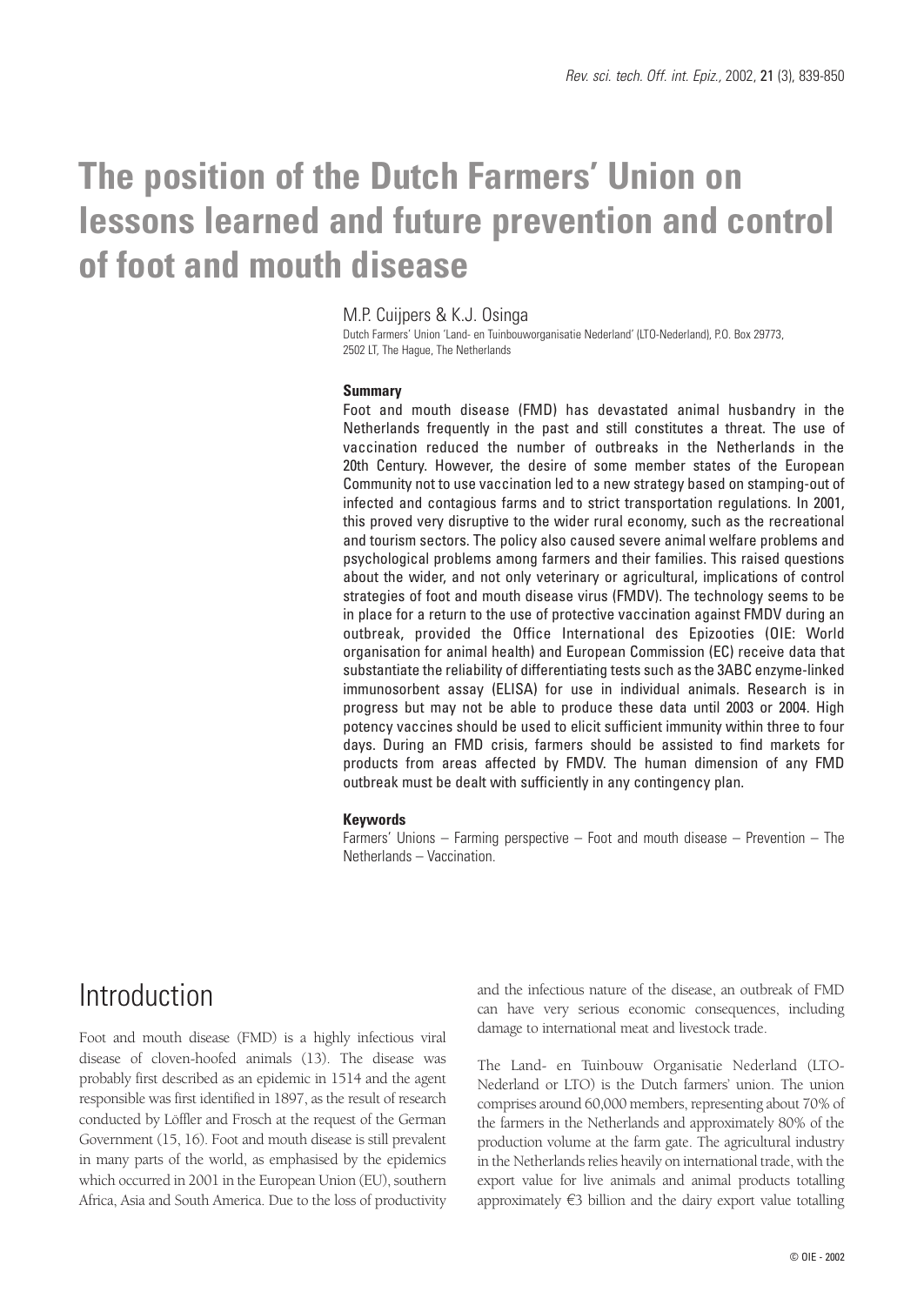# **The position of the Dutch Farmers' Union on lessons learned and future prevention and control of foot and mouth disease**

## M.P. Cuijpers & K.J. Osinga

Dutch Farmers' Union 'Land- en Tuinbouworganisatie Nederland' (LTO-Nederland), P.O. Box 29773, 2502 LT, The Hague, The Netherlands

### **Summary**

Foot and mouth disease (FMD) has devastated animal husbandry in the Netherlands frequently in the past and still constitutes a threat. The use of vaccination reduced the number of outbreaks in the Netherlands in the 20th Century. However, the desire of some member states of the European Community not to use vaccination led to a new strategy based on stamping-out of infected and contagious farms and to strict transportation regulations. In 2001, this proved very disruptive to the wider rural economy, such as the recreational and tourism sectors. The policy also caused severe animal welfare problems and psychological problems among farmers and their families. This raised questions about the wider, and not only veterinary or agricultural, implications of control strategies of foot and mouth disease virus (FMDV). The technology seems to be in place for a return to the use of protective vaccination against FMDV during an outbreak, provided the Office International des Epizooties (OIE: World organisation for animal health) and European Commission (EC) receive data that substantiate the reliability of differentiating tests such as the 3ABC enzyme-linked immunosorbent assay (ELISA) for use in individual animals. Research is in progress but may not be able to produce these data until 2003 or 2004. High potency vaccines should be used to elicit sufficient immunity within three to four days. During an FMD crisis, farmers should be assisted to find markets for products from areas affected by FMDV. The human dimension of any FMD outbreak must be dealt with sufficiently in any contingency plan.

#### **Keywords**

Farmers' Unions – Farming perspective – Foot and mouth disease – Prevention – The Netherlands – Vaccination.

## **Introduction**

Foot and mouth disease (FMD) is a highly infectious viral disease of cloven-hoofed animals (13). The disease was probably first described as an epidemic in 1514 and the agent responsible was first identified in 1897, as the result of research conducted by Löffler and Frosch at the request of the German Government (15, 16). Foot and mouth disease is still prevalent in many parts of the world, as emphasised by the epidemics which occurred in 2001 in the European Union (EU), southern Africa, Asia and South America. Due to the loss of productivity and the infectious nature of the disease, an outbreak of FMD can have very serious economic consequences, including damage to international meat and livestock trade.

The Land- en Tuinbouw Organisatie Nederland (LTO-Nederland or LTO) is the Dutch farmers' union. The union comprises around 60,000 members, representing about 70% of the farmers in the Netherlands and approximately 80% of the production volume at the farm gate. The agricultural industry in the Netherlands relies heavily on international trade, with the export value for live animals and animal products totalling approximately  $\epsilon$ 3 billion and the dairy export value totalling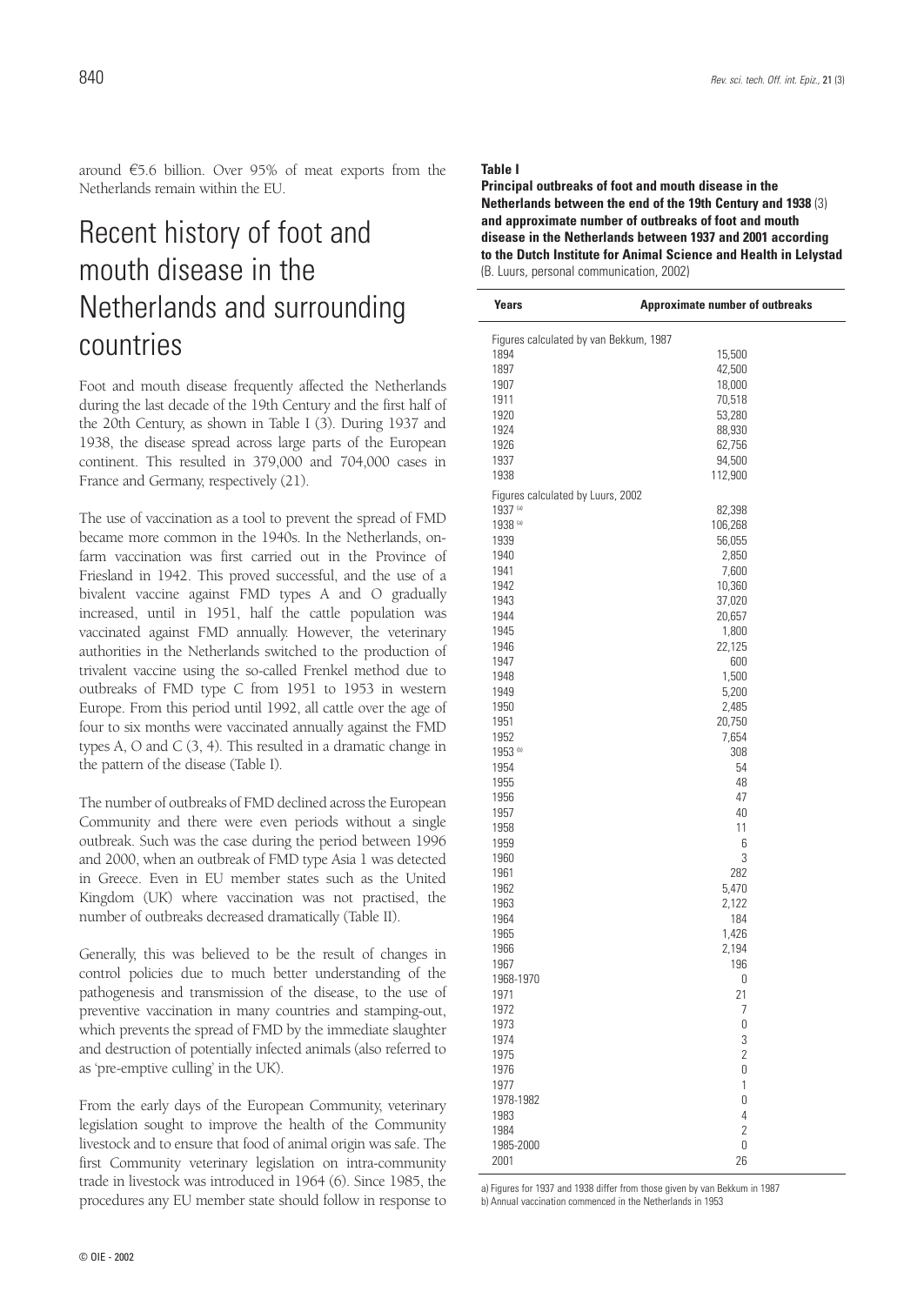around  $65.6$  billion. Over 95% of meat exports from the Netherlands remain within the EU.

## Recent history of foot and mouth disease in the Netherlands and surrounding countries

Foot and mouth disease frequently affected the Netherlands during the last decade of the 19th Century and the first half of the 20th Century, as shown in Table I (3). During 1937 and 1938, the disease spread across large parts of the European continent. This resulted in 379,000 and 704,000 cases in France and Germany, respectively (21).

The use of vaccination as a tool to prevent the spread of FMD became more common in the 1940s. In the Netherlands, onfarm vaccination was first carried out in the Province of Friesland in 1942. This proved successful, and the use of a bivalent vaccine against FMD types A and O gradually increased, until in 1951, half the cattle population was vaccinated against FMD annually. However, the veterinary authorities in the Netherlands switched to the production of trivalent vaccine using the so-called Frenkel method due to outbreaks of FMD type C from 1951 to 1953 in western Europe. From this period until 1992, all cattle over the age of four to six months were vaccinated annually against the FMD types A, O and C (3, 4). This resulted in a dramatic change in the pattern of the disease (Table I).

The number of outbreaks of FMD declined across the European Community and there were even periods without a single outbreak. Such was the case during the period between 1996 and 2000, when an outbreak of FMD type Asia 1 was detected in Greece. Even in EU member states such as the United Kingdom (UK) where vaccination was not practised, the number of outbreaks decreased dramatically (Table II).

Generally, this was believed to be the result of changes in control policies due to much better understanding of the pathogenesis and transmission of the disease, to the use of preventive vaccination in many countries and stamping-out, which prevents the spread of FMD by the immediate slaughter and destruction of potentially infected animals (also referred to as 'pre-emptive culling' in the UK).

From the early days of the European Community, veterinary legislation sought to improve the health of the Community livestock and to ensure that food of animal origin was safe. The first Community veterinary legislation on intra-community trade in livestock was introduced in 1964 (6). Since 1985, the procedures any EU member state should follow in response to

#### **Table I**

**Principal outbreaks of foot and mouth disease in the Netherlands between the end of the 19th Century and 1938** (3) **and approximate number of outbreaks of foot and mouth disease in the Netherlands between 1937 and 2001 according to the Dutch Institute for Animal Science and Health in Lelystad** (B. Luurs, personal communication, 2002)

| <b>Years</b>        | <b>Approximate number of outbreaks</b> |
|---------------------|----------------------------------------|
|                     | Figures calculated by van Bekkum, 1987 |
| 1894                | 15,500                                 |
| 1897                | 42,500                                 |
| 1907                | 18,000                                 |
| 1911                | 70,518                                 |
| 1920                | 53,280                                 |
| 1924                | 88,930                                 |
| 1926                | 62,756                                 |
| 1937                | 94,500                                 |
| 1938                | 112,900                                |
|                     | Figures calculated by Luurs, 2002      |
| 1937 (a)            | 82,398                                 |
| 1938 (a)            | 106,268                                |
| 1939                | 56,055                                 |
| 1940                | 2,850                                  |
| 1941                | 7,600                                  |
| 1942                | 10,360                                 |
| 1943                | 37,020                                 |
| 1944                | 20,657                                 |
| 1945                | 1,800                                  |
| 1946                | 22,125                                 |
| 1947                | 600                                    |
| 1948                | 1,500                                  |
| 1949                | 5,200                                  |
| 1950                | 2,485                                  |
| 1951                | 20,750                                 |
| 1952                | 7,654                                  |
| 1953 <sup>(b)</sup> | 308                                    |
| 1954                | 54                                     |
| 1955                | 48                                     |
| 1956                | 47                                     |
| 1957                | 40                                     |
| 1958                | 11                                     |
| 1959                | 6                                      |
| 1960                | 3                                      |
| 1961                | 282                                    |
| 1962                | 5,470                                  |
| 1963                | 2,122                                  |
| 1964                | 184                                    |
| 1965                | 1,426                                  |
| 1966                | 2,194                                  |
| 1967                | 196                                    |
| 1968-1970           | 0                                      |
| 1971                | 21                                     |
| 1972                | 7                                      |
| 1973                | $\mathbf 0$                            |
| 1974                | 3                                      |
| 1975                | $\overline{2}$                         |
| 1976                | 0                                      |
| 1977                | 1                                      |
| 1978-1982           | 0                                      |
| 1983                | $\overline{4}$                         |
| 1984                | $\overline{2}$                         |
| 1985-2000           | 0                                      |
| 2001                | 26                                     |

a) Figures for 1937 and 1938 differ from those given by van Bekkum in 1987 b) Annual vaccination commenced in the Netherlands in 1953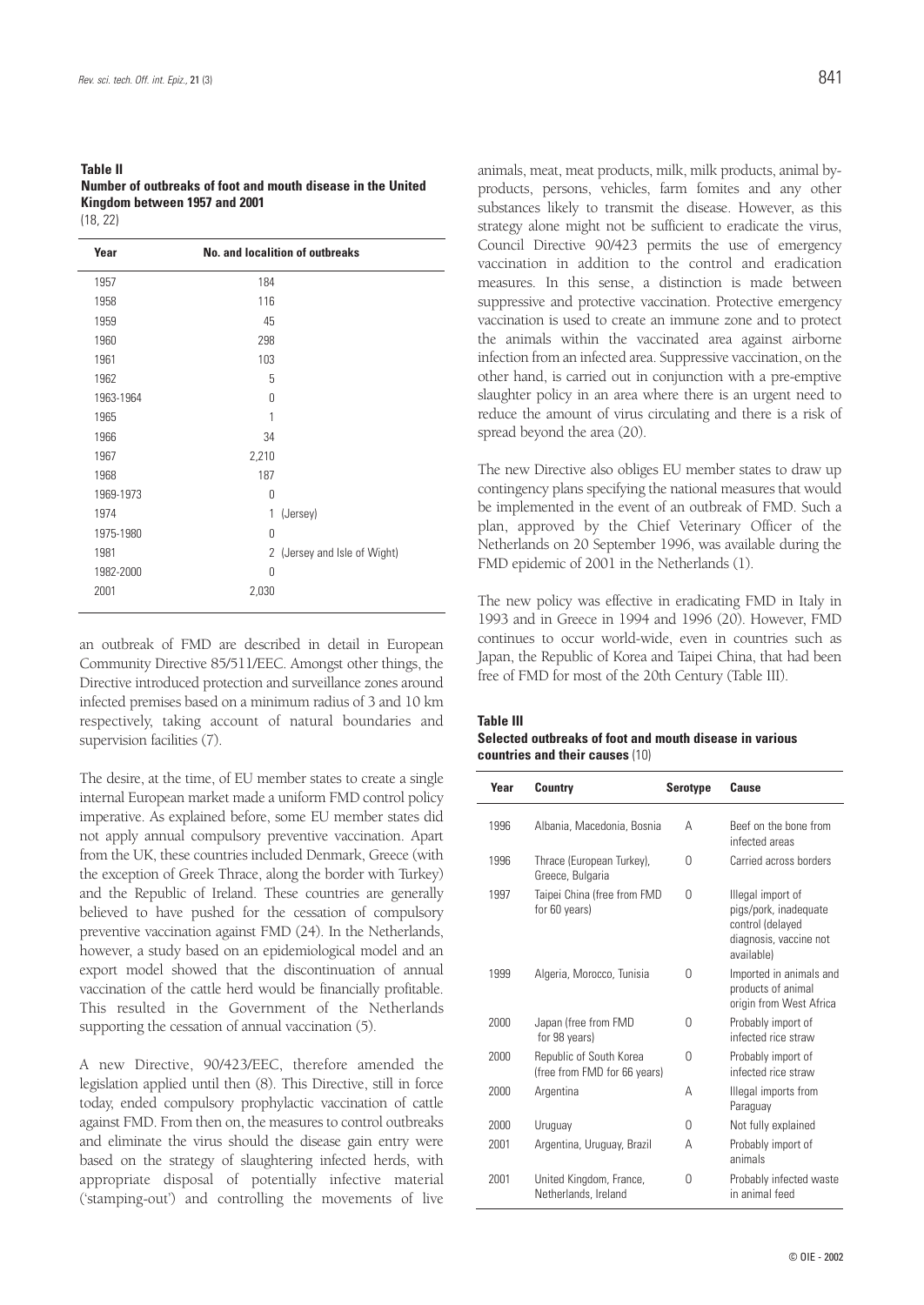#### **Table II Number of outbreaks of foot and mouth disease in the United Kingdom between 1957 and 2001** (18, 22)

| Year      |          | <b>No. and localition of outbreaks</b> |
|-----------|----------|----------------------------------------|
| 1957      | 184      |                                        |
| 1958      | 116      |                                        |
| 1959      | 45       |                                        |
| 1960      | 298      |                                        |
| 1961      | 103      |                                        |
| 1962      | 5        |                                        |
| 1963-1964 | Ŋ        |                                        |
| 1965      | 1        |                                        |
| 1966      | 34       |                                        |
| 1967      | 2,210    |                                        |
| 1968      | 187      |                                        |
| 1969-1973 | 0        |                                        |
| 1974      | 1        | (Jersey)                               |
| 1975-1980 | $\Omega$ |                                        |
| 1981      |          | 2 (Jersey and Isle of Wight)           |
| 1982-2000 | 0        |                                        |
| 2001      | 2,030    |                                        |
|           |          |                                        |

an outbreak of FMD are described in detail in European Community Directive 85/511/EEC. Amongst other things, the Directive introduced protection and surveillance zones around infected premises based on a minimum radius of 3 and 10 km respectively, taking account of natural boundaries and supervision facilities (7).

The desire, at the time, of EU member states to create a single internal European market made a uniform FMD control policy imperative. As explained before, some EU member states did not apply annual compulsory preventive vaccination. Apart from the UK, these countries included Denmark, Greece (with the exception of Greek Thrace, along the border with Turkey) and the Republic of Ireland. These countries are generally believed to have pushed for the cessation of compulsory preventive vaccination against FMD (24). In the Netherlands, however, a study based on an epidemiological model and an export model showed that the discontinuation of annual vaccination of the cattle herd would be financially profitable. This resulted in the Government of the Netherlands supporting the cessation of annual vaccination (5).

A new Directive, 90/423/EEC, therefore amended the legislation applied until then (8). This Directive, still in force today, ended compulsory prophylactic vaccination of cattle against FMD. From then on, the measures to control outbreaks and eliminate the virus should the disease gain entry were based on the strategy of slaughtering infected herds, with appropriate disposal of potentially infective material ('stamping-out') and controlling the movements of live animals, meat, meat products, milk, milk products, animal byproducts, persons, vehicles, farm fomites and any other substances likely to transmit the disease. However, as this strategy alone might not be sufficient to eradicate the virus, Council Directive 90/423 permits the use of emergency vaccination in addition to the control and eradication measures. In this sense, a distinction is made between suppressive and protective vaccination. Protective emergency vaccination is used to create an immune zone and to protect the animals within the vaccinated area against airborne infection from an infected area. Suppressive vaccination, on the other hand, is carried out in conjunction with a pre-emptive slaughter policy in an area where there is an urgent need to reduce the amount of virus circulating and there is a risk of spread beyond the area (20).

The new Directive also obliges EU member states to draw up contingency plans specifying the national measures that would be implemented in the event of an outbreak of FMD. Such a plan, approved by the Chief Veterinary Officer of the Netherlands on 20 September 1996, was available during the FMD epidemic of 2001 in the Netherlands (1).

The new policy was effective in eradicating FMD in Italy in 1993 and in Greece in 1994 and 1996 (20). However, FMD continues to occur world-wide, even in countries such as Japan, the Republic of Korea and Taipei China, that had been free of FMD for most of the 20th Century (Table III).

#### **Table III**

### **Selected outbreaks of foot and mouth disease in various countries and their causes** (10)

| Year | Country                                                 | <b>Serotype</b> | Cause                                                                                                  |
|------|---------------------------------------------------------|-----------------|--------------------------------------------------------------------------------------------------------|
| 1996 | Albania, Macedonia, Bosnia                              | А               | Beef on the bone from<br>infected areas                                                                |
| 1996 | Thrace (European Turkey),<br>Greece, Bulgaria           | U               | Carried across borders                                                                                 |
| 1997 | Taipei China (free from FMD<br>for 60 years)            | 0               | Illegal import of<br>pigs/pork, inadequate<br>control (delayed<br>diagnosis, vaccine not<br>available) |
| 1999 | Algeria, Morocco, Tunisia                               | U               | Imported in animals and<br>products of animal<br>origin from West Africa                               |
| 2000 | Japan (free from FMD<br>for 98 years)                   | 0               | Probably import of<br>infected rice straw                                                              |
| 2000 | Republic of South Korea<br>(free from FMD for 66 years) | U               | Probably import of<br>infected rice straw                                                              |
| 2000 | Argentina                                               | А               | Illegal imports from<br>Paraguay                                                                       |
| 2000 | Uruguay                                                 | U               | Not fully explained                                                                                    |
| 2001 | Argentina, Uruguay, Brazil                              | А               | Probably import of<br>animals                                                                          |
| 2001 | United Kingdom, France,<br>Netherlands, Ireland         | 0               | Probably infected waste<br>in animal feed                                                              |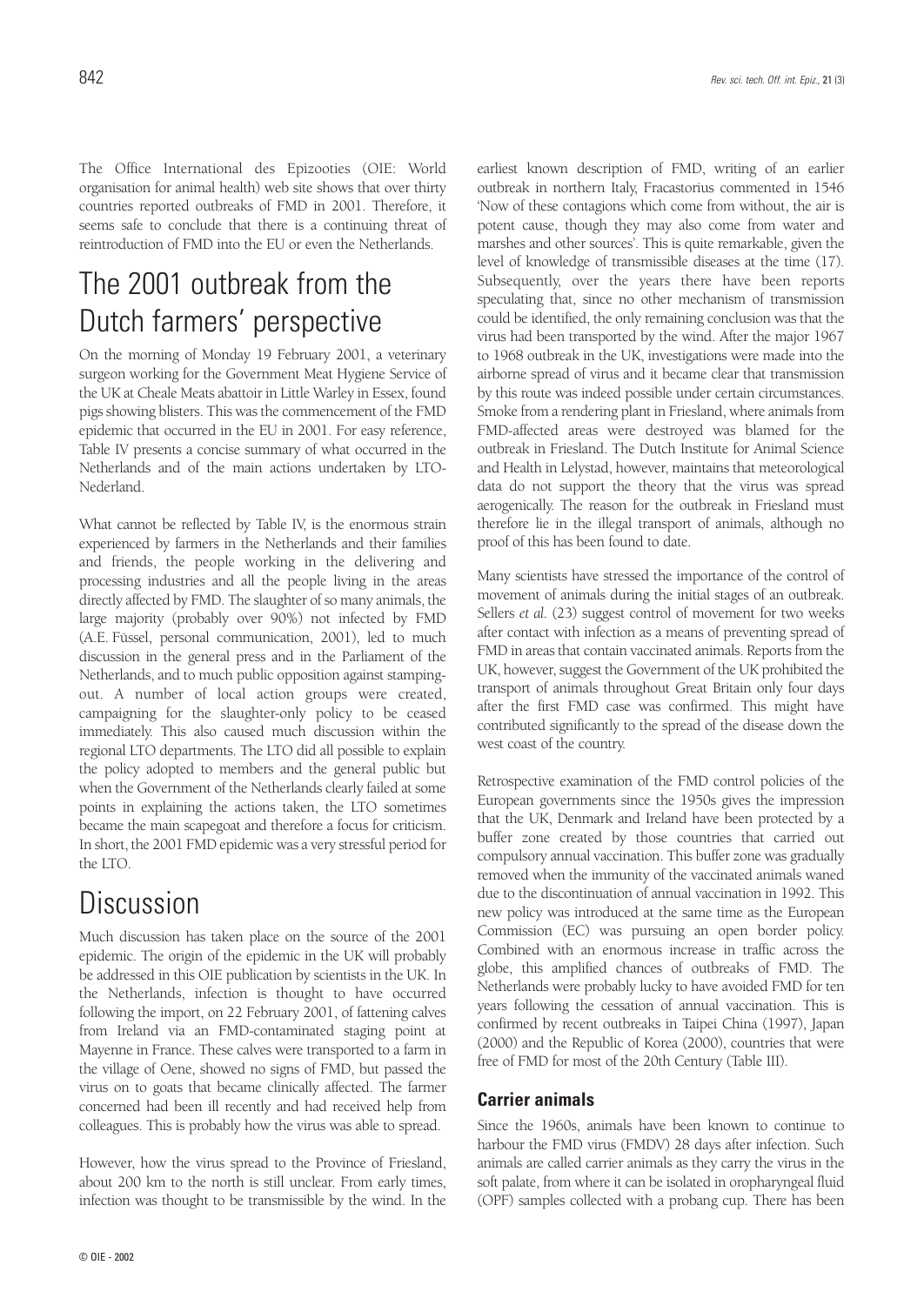The Office International des Epizooties (OIE: World organisation for animal health) web site shows that over thirty countries reported outbreaks of FMD in 2001. Therefore, it seems safe to conclude that there is a continuing threat of reintroduction of FMD into the EU or even the Netherlands.

## The 2001 outbreak from the Dutch farmers' perspective

On the morning of Monday 19 February 2001, a veterinary surgeon working for the Government Meat Hygiene Service of the UK at Cheale Meats abattoir in Little Warley in Essex, found pigs showing blisters. This was the commencement of the FMD epidemic that occurred in the EU in 2001. For easy reference, Table IV presents a concise summary of what occurred in the Netherlands and of the main actions undertaken by LTO-Nederland.

What cannot be reflected by Table IV, is the enormous strain experienced by farmers in the Netherlands and their families and friends, the people working in the delivering and processing industries and all the people living in the areas directly affected by FMD. The slaughter of so many animals, the large majority (probably over 90%) not infected by FMD (A.E. Füssel, personal communication, 2001), led to much discussion in the general press and in the Parliament of the Netherlands, and to much public opposition against stampingout. A number of local action groups were created, campaigning for the slaughter-only policy to be ceased immediately. This also caused much discussion within the regional LTO departments. The LTO did all possible to explain the policy adopted to members and the general public but when the Government of the Netherlands clearly failed at some points in explaining the actions taken, the LTO sometimes became the main scapegoat and therefore a focus for criticism. In short, the 2001 FMD epidemic was a very stressful period for the LTO.

## **Discussion**

Much discussion has taken place on the source of the 2001 epidemic. The origin of the epidemic in the UK will probably be addressed in this OIE publication by scientists in the UK. In the Netherlands, infection is thought to have occurred following the import, on 22 February 2001, of fattening calves from Ireland via an FMD-contaminated staging point at Mayenne in France. These calves were transported to a farm in the village of Oene, showed no signs of FMD, but passed the virus on to goats that became clinically affected. The farmer concerned had been ill recently and had received help from colleagues. This is probably how the virus was able to spread.

However, how the virus spread to the Province of Friesland, about 200 km to the north is still unclear. From early times, infection was thought to be transmissible by the wind. In the earliest known description of FMD, writing of an earlier outbreak in northern Italy, Fracastorius commented in 1546 'Now of these contagions which come from without, the air is potent cause, though they may also come from water and marshes and other sources'. This is quite remarkable, given the level of knowledge of transmissible diseases at the time (17). Subsequently, over the years there have been reports speculating that, since no other mechanism of transmission could be identified, the only remaining conclusion was that the virus had been transported by the wind. After the major 1967 to 1968 outbreak in the UK, investigations were made into the airborne spread of virus and it became clear that transmission by this route was indeed possible under certain circumstances. Smoke from a rendering plant in Friesland, where animals from FMD-affected areas were destroyed was blamed for the outbreak in Friesland. The Dutch Institute for Animal Science and Health in Lelystad, however, maintains that meteorological data do not support the theory that the virus was spread aerogenically. The reason for the outbreak in Friesland must therefore lie in the illegal transport of animals, although no proof of this has been found to date.

Many scientists have stressed the importance of the control of movement of animals during the initial stages of an outbreak. Sellers *et al.* (23) suggest control of movement for two weeks after contact with infection as a means of preventing spread of FMD in areas that contain vaccinated animals. Reports from the UK, however, suggest the Government of the UK prohibited the transport of animals throughout Great Britain only four days after the first FMD case was confirmed. This might have contributed significantly to the spread of the disease down the west coast of the country.

Retrospective examination of the FMD control policies of the European governments since the 1950s gives the impression that the UK, Denmark and Ireland have been protected by a buffer zone created by those countries that carried out compulsory annual vaccination. This buffer zone was gradually removed when the immunity of the vaccinated animals waned due to the discontinuation of annual vaccination in 1992. This new policy was introduced at the same time as the European Commission (EC) was pursuing an open border policy. Combined with an enormous increase in traffic across the globe, this amplified chances of outbreaks of FMD. The Netherlands were probably lucky to have avoided FMD for ten years following the cessation of annual vaccination. This is confirmed by recent outbreaks in Taipei China (1997), Japan (2000) and the Republic of Korea (2000), countries that were free of FMD for most of the 20th Century (Table III).

### **Carrier animals**

Since the 1960s, animals have been known to continue to harbour the FMD virus (FMDV) 28 days after infection. Such animals are called carrier animals as they carry the virus in the soft palate, from where it can be isolated in oropharyngeal fluid (OPF) samples collected with a probang cup. There has been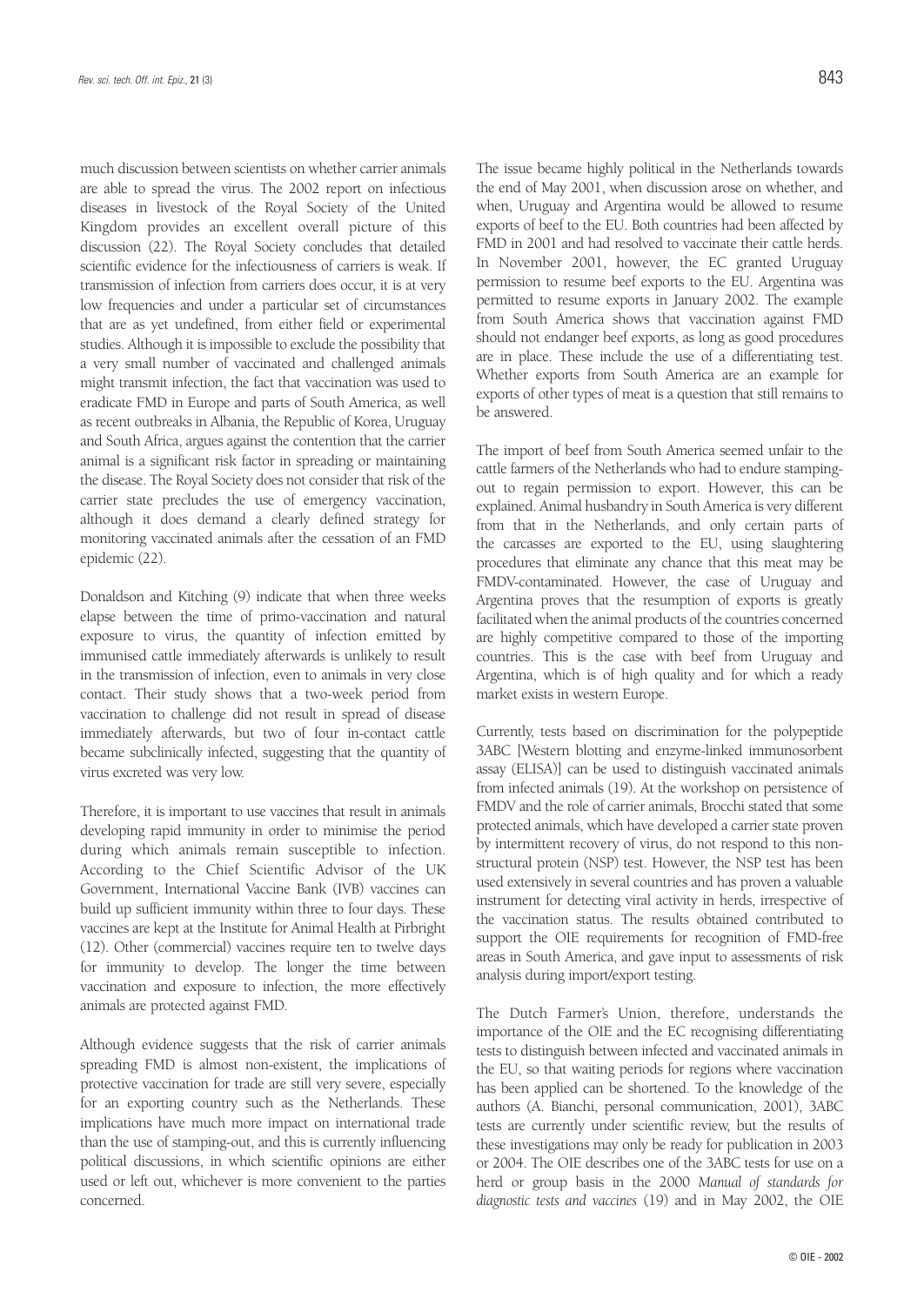much discussion between scientists on whether carrier animals are able to spread the virus. The 2002 report on infectious diseases in livestock of the Royal Society of the United Kingdom provides an excellent overall picture of this discussion (22). The Royal Society concludes that detailed scientific evidence for the infectiousness of carriers is weak. If transmission of infection from carriers does occur, it is at very low frequencies and under a particular set of circumstances that are as yet undefined, from either field or experimental studies. Although it is impossible to exclude the possibility that a very small number of vaccinated and challenged animals might transmit infection, the fact that vaccination was used to eradicate FMD in Europe and parts of South America, as well as recent outbreaks in Albania, the Republic of Korea, Uruguay and South Africa, argues against the contention that the carrier animal is a significant risk factor in spreading or maintaining the disease. The Royal Society does not consider that risk of the carrier state precludes the use of emergency vaccination, although it does demand a clearly defined strategy for monitoring vaccinated animals after the cessation of an FMD epidemic (22).

Donaldson and Kitching (9) indicate that when three weeks elapse between the time of primo-vaccination and natural exposure to virus, the quantity of infection emitted by immunised cattle immediately afterwards is unlikely to result in the transmission of infection, even to animals in very close contact. Their study shows that a two-week period from vaccination to challenge did not result in spread of disease immediately afterwards, but two of four in-contact cattle became subclinically infected, suggesting that the quantity of virus excreted was very low.

Therefore, it is important to use vaccines that result in animals developing rapid immunity in order to minimise the period during which animals remain susceptible to infection. According to the Chief Scientific Advisor of the UK Government, International Vaccine Bank (IVB) vaccines can build up sufficient immunity within three to four days. These vaccines are kept at the Institute for Animal Health at Pirbright (12). Other (commercial) vaccines require ten to twelve days for immunity to develop. The longer the time between vaccination and exposure to infection, the more effectively animals are protected against FMD.

Although evidence suggests that the risk of carrier animals spreading FMD is almost non-existent, the implications of protective vaccination for trade are still very severe, especially for an exporting country such as the Netherlands. These implications have much more impact on international trade than the use of stamping-out, and this is currently influencing political discussions, in which scientific opinions are either used or left out, whichever is more convenient to the parties concerned.

The issue became highly political in the Netherlands towards the end of May 2001, when discussion arose on whether, and when, Uruguay and Argentina would be allowed to resume exports of beef to the EU. Both countries had been affected by FMD in 2001 and had resolved to vaccinate their cattle herds. In November 2001, however, the EC granted Uruguay permission to resume beef exports to the EU. Argentina was permitted to resume exports in January 2002. The example from South America shows that vaccination against FMD should not endanger beef exports, as long as good procedures are in place. These include the use of a differentiating test. Whether exports from South America are an example for exports of other types of meat is a question that still remains to be answered.

The import of beef from South America seemed unfair to the cattle farmers of the Netherlands who had to endure stampingout to regain permission to export. However, this can be explained. Animal husbandry in South America is very different from that in the Netherlands, and only certain parts of the carcasses are exported to the EU, using slaughtering procedures that eliminate any chance that this meat may be FMDV-contaminated. However, the case of Uruguay and Argentina proves that the resumption of exports is greatly facilitated when the animal products of the countries concerned are highly competitive compared to those of the importing countries. This is the case with beef from Uruguay and Argentina, which is of high quality and for which a ready market exists in western Europe.

Currently, tests based on discrimination for the polypeptide 3ABC [Western blotting and enzyme-linked immunosorbent assay (ELISA)] can be used to distinguish vaccinated animals from infected animals (19). At the workshop on persistence of FMDV and the role of carrier animals, Brocchi stated that some protected animals, which have developed a carrier state proven by intermittent recovery of virus, do not respond to this nonstructural protein (NSP) test. However, the NSP test has been used extensively in several countries and has proven a valuable instrument for detecting viral activity in herds, irrespective of the vaccination status. The results obtained contributed to support the OIE requirements for recognition of FMD-free areas in South America, and gave input to assessments of risk analysis during import/export testing.

The Dutch Farmer's Union, therefore, understands the importance of the OIE and the EC recognising differentiating tests to distinguish between infected and vaccinated animals in the EU, so that waiting periods for regions where vaccination has been applied can be shortened. To the knowledge of the authors (A. Bianchi, personal communication, 2001), 3ABC tests are currently under scientific review, but the results of these investigations may only be ready for publication in 2003 or 2004. The OIE describes one of the 3ABC tests for use on a herd or group basis in the 2000 *Manual of standards for diagnostic tests and vaccines* (19) and in May 2002, the OIE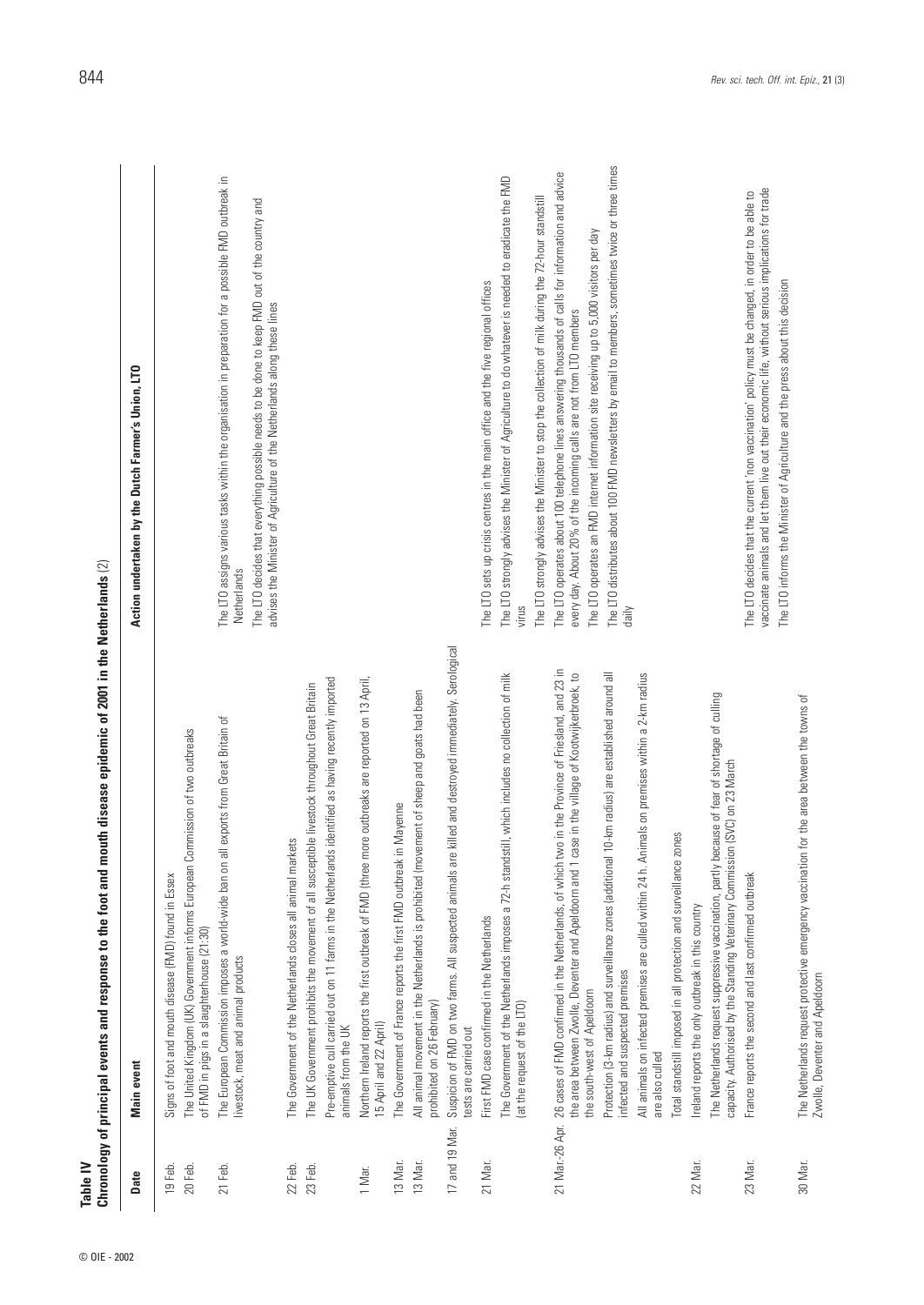© OIE - 2002

| ı<br>j                                            |
|---------------------------------------------------|
|                                                   |
|                                                   |
|                                                   |
|                                                   |
|                                                   |
|                                                   |
|                                                   |
| l<br>ĺ                                            |
|                                                   |
|                                                   |
|                                                   |
|                                                   |
|                                                   |
|                                                   |
| l<br>l                                            |
|                                                   |
| ֖֖֖֖֖֖֖֖֧ׅ֖֧ׅ֖֧֪֪֪֧֚֚֚֚֚֚֚֚֚֚֚֚֚֚֚֚֚֚֚֚֚֬֜֝֬֝֓֞֝֬ |
| l                                                 |
|                                                   |
|                                                   |
|                                                   |
|                                                   |
|                                                   |
|                                                   |
|                                                   |
| l                                                 |
|                                                   |
|                                                   |
|                                                   |
|                                                   |
|                                                   |
|                                                   |
|                                                   |
|                                                   |
|                                                   |
|                                                   |
| j                                                 |
|                                                   |
|                                                   |
| j                                                 |

| Table IV           | Chronology of principal events and response to the foot and mouth disease epidemic of 2001 in the Netherlands (2)                                                                                                                                       |                                                                                                                                                                                                                                                                                                |
|--------------------|---------------------------------------------------------------------------------------------------------------------------------------------------------------------------------------------------------------------------------------------------------|------------------------------------------------------------------------------------------------------------------------------------------------------------------------------------------------------------------------------------------------------------------------------------------------|
| Date               | Main event                                                                                                                                                                                                                                              | Action undertaken by the Dutch Farmer's Union, LTO                                                                                                                                                                                                                                             |
| 20 Feb.<br>19 Feb. | The United Kingdom (UK) Government informs European Commission of two outbreaks<br>Signs of foot and mouth disease (FMD) found in Essex<br>of FMD in pigs in a slaughterhouse (21:30)                                                                   |                                                                                                                                                                                                                                                                                                |
| 21 Feb.            | all exports from Great Britain of<br>The European Commission imposes a world-wide ban on<br>livestock, meat and animal products                                                                                                                         | The LTO assigns various tasks within the organisation in preparation for a possible FMD outbreak in<br>The LTO decides that everything possible needs to be done to keep FMD out of the country and<br>advises the Minister of Agriculture of the Netherlands along these lines<br>Netherlands |
| 22 Feb.            | The Government of the Netherlands closes all animal markets                                                                                                                                                                                             |                                                                                                                                                                                                                                                                                                |
| 23 Feb.            | Pre-emptive cull carried out on 11 farms in the Netherlands identified as having recently imported<br>The UK Government prohibits the movement of all susceptible livestock throughout Great Britain<br>animals from the UK                             |                                                                                                                                                                                                                                                                                                |
| 1 Mar.             | more outbreaks are reported on 13 April,<br>Northern Ireland reports the first outbreak of FMD (three<br>15 April and 22 April)                                                                                                                         |                                                                                                                                                                                                                                                                                                |
| 13 Mar.            | in Mayenne<br>The Government of France reports the first FMD outbreak                                                                                                                                                                                   |                                                                                                                                                                                                                                                                                                |
| 13 Mar.            | All animal movement in the Netherlands is prohibited (movement of sheep and goats had been<br>prohibited on 26 February)                                                                                                                                |                                                                                                                                                                                                                                                                                                |
| 17 and 19 Mar.     | Suspicion of FMD on two farms. All suspected animals are killed and destroyed immediately. Serological<br>tests are carried out                                                                                                                         |                                                                                                                                                                                                                                                                                                |
| 21 Mar.            | First FMD case confirmed in the Netherlands                                                                                                                                                                                                             | The LTO sets up crisis centres in the main office and the five regional offices                                                                                                                                                                                                                |
|                    | The Government of the Netherlands imposes a 72-h standstill, which includes no collection of milk<br>(at the request of the LTO)                                                                                                                        | The LTO strongly advises the Minister of Agriculture to do whatever is needed to eradicate the FMD<br>virus                                                                                                                                                                                    |
|                    |                                                                                                                                                                                                                                                         | The LTO strongly advises the Minister to stop the collection of milk during the 72-hour standstill                                                                                                                                                                                             |
|                    | 21 Mar-26 Apr. 26 cases of FMD confirmed in the Netherlands, of which two in the Province of Friesland, and 23 in<br>case in the village of Kootwijkerbroek, to<br>the area between Zwolle, Deventer and Apeldoorn and 1<br>the south-west of Apeldoorn | The LTO operates about 100 telephone lines answering thousands of calls for information and advice<br>The LTO operates an FMD internet information site receiving up to 5,000 visitors per day<br>every day. About 20% of the incoming calls are not from LTO members                          |
|                    | Protection (3-km radius) and surveillance zones (additional 10-km radius) are established around all<br>infected and suspected premises                                                                                                                 | The LTO distributes about 100 FMD newsletters by email to members, sometimes twice or three times<br>daily                                                                                                                                                                                     |
|                    | Animals on premises within a 2-km radius<br>All animals on infected premises are culled within 24 h.<br>are also culled                                                                                                                                 |                                                                                                                                                                                                                                                                                                |
|                    | zones<br>Total standstill imposed in all protection and surveillance                                                                                                                                                                                    |                                                                                                                                                                                                                                                                                                |
| 22 Mar.            | The Netherlands request suppressive vaccination, partly because of fear of shortage of culling<br>Ireland reports the only outbreak in this country                                                                                                     |                                                                                                                                                                                                                                                                                                |
|                    | capacity. Authorised by the Standing Veterinary Commission (SVC) on 23 March                                                                                                                                                                            |                                                                                                                                                                                                                                                                                                |
| 23 Mar.            | France reports the second and last confirmed outbreak                                                                                                                                                                                                   | vaccinate animals and let them live out their economic life, without serious implications for trade<br>The LTO decides that the current 'non vaccination' policy must be changed, in order to be able to<br>The LTO informs the Minister of Agriculture and the press about this decision      |
| 30 Mar.            | The Netherlands request protective emergency vaccination for the area between the towns of<br>Zwolle, Deventer and Apeldoorn                                                                                                                            |                                                                                                                                                                                                                                                                                                |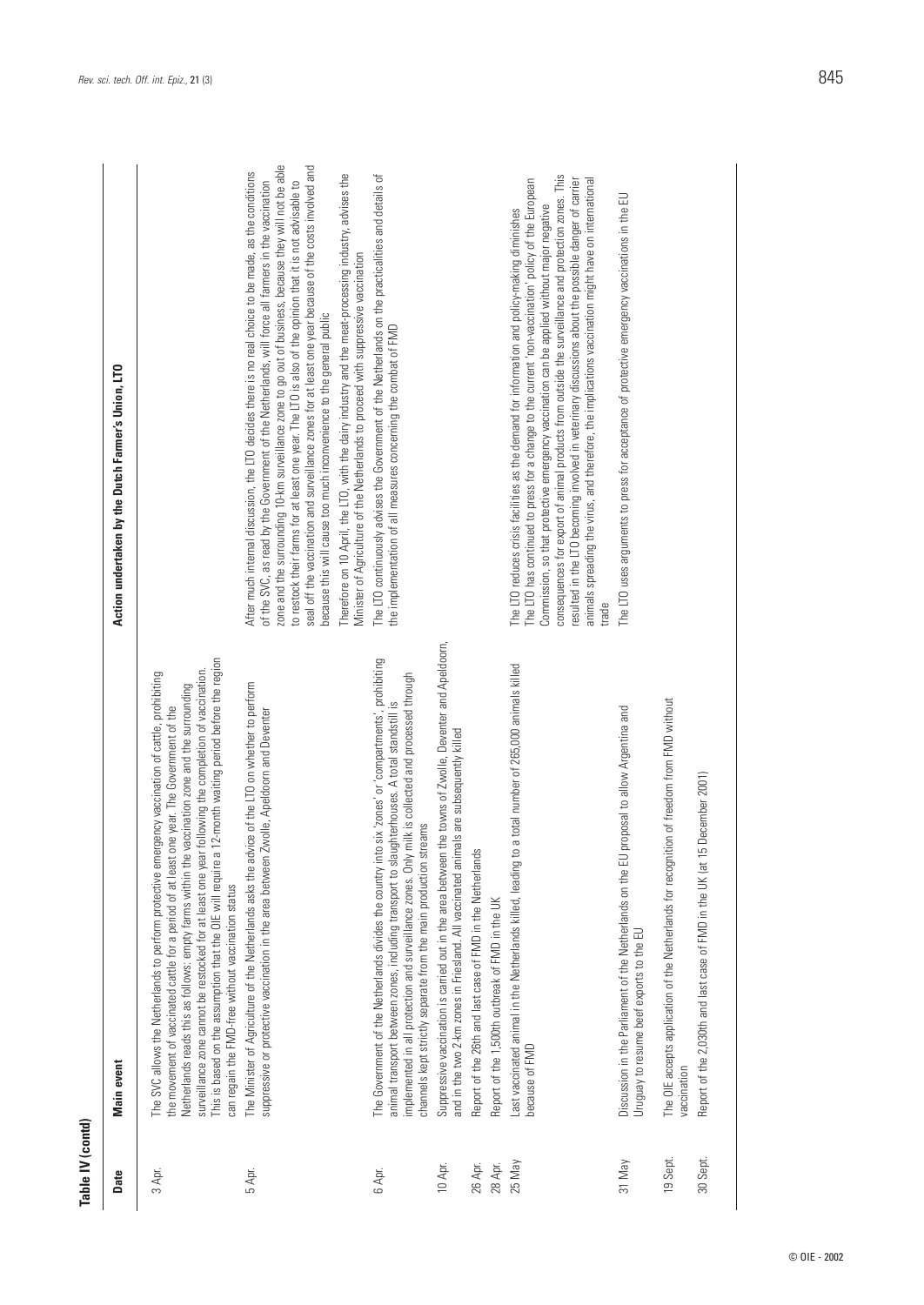| Table IV (contd) |                                                                                                                                                                                                                                                                                                                                                                                                                                                                                                                                                                             |                                                                                                                                                                                                                                                                                                                                                                                                                                                                                                                                                                                                                                                                                                                               |
|------------------|-----------------------------------------------------------------------------------------------------------------------------------------------------------------------------------------------------------------------------------------------------------------------------------------------------------------------------------------------------------------------------------------------------------------------------------------------------------------------------------------------------------------------------------------------------------------------------|-------------------------------------------------------------------------------------------------------------------------------------------------------------------------------------------------------------------------------------------------------------------------------------------------------------------------------------------------------------------------------------------------------------------------------------------------------------------------------------------------------------------------------------------------------------------------------------------------------------------------------------------------------------------------------------------------------------------------------|
| Date             | Main event                                                                                                                                                                                                                                                                                                                                                                                                                                                                                                                                                                  | Action undertaken by the Dutch Farmer's Union, LTO                                                                                                                                                                                                                                                                                                                                                                                                                                                                                                                                                                                                                                                                            |
| 3 Apr.           | a 12-month waiting period before the region<br>surveillance zone cannot be restocked for at least one year following the completion of vaccination.<br>The SVC allows the Netherlands to perform protective emergency vaccination of cattle, prohibiting<br>Netherlands reads this as follows: empty farms within the vaccination zone and the surrounding<br>the movement of vaccinated cattle for a period of at least one year. The Government of the<br>This is based on the assumption that the OIE will require<br>can regain the FMD-free without vaccination status |                                                                                                                                                                                                                                                                                                                                                                                                                                                                                                                                                                                                                                                                                                                               |
| 5 Apr.           | The Minister of Agriculture of the Netherlands asks the advice of the LTO on whether to perform<br>suppressive or protective vaccination in the area between Zwolle, Apeldoorn and Deventer                                                                                                                                                                                                                                                                                                                                                                                 | zone and the surrounding 10-km surveillance zone to go out of business, because they will not be able<br>seal off the vaccination and surveillance zones for at least one year because of the costs involved and<br>After much internal discussion, the LTO decides there is no real choice to be made, as the conditions<br>Therefore on 10 April, the LTO, with the dairy industry and the meat-processing industry, advises the<br>of the SVC, as read by the Government of the Netherlands, will force all farmers in the vaccination<br>to restock their farms for at least one year. The LTO is also of the opinion that it is not advisable to<br>because this will cause too much inconvenience to the general public |
|                  |                                                                                                                                                                                                                                                                                                                                                                                                                                                                                                                                                                             | Minister of Agriculture of the Netherlands to proceed with suppressive vaccination                                                                                                                                                                                                                                                                                                                                                                                                                                                                                                                                                                                                                                            |
| 6 Apr.           | The Government of the Netherlands divides the country into six 'zones' or 'compartments', prohibiting<br>ly milk is collected and processed through<br>animal transport between zones, including transport to slaughterhouses. A total standstill<br>channels kept strictly separate from the main production streams<br>implemented in all protection and surveillance zones. On                                                                                                                                                                                           | The LTO continuously advises the Government of the Netherlands on the practicalities and details of<br>the implementation of all measures concerning the combat of FMD                                                                                                                                                                                                                                                                                                                                                                                                                                                                                                                                                        |
| 10 Apr.          | Suppressive vaccination is carried out in the area between the towns of Zwolle, Deventer and Apeldoorn,<br>and in the two 2-km zones in Friesland. All vaccinated animals are subsequently killed                                                                                                                                                                                                                                                                                                                                                                           |                                                                                                                                                                                                                                                                                                                                                                                                                                                                                                                                                                                                                                                                                                                               |
| 26 Арг.          | Report of the 26th and last case of FMD in the Netherlands                                                                                                                                                                                                                                                                                                                                                                                                                                                                                                                  |                                                                                                                                                                                                                                                                                                                                                                                                                                                                                                                                                                                                                                                                                                                               |
| 28 Apr.          | Report of the 1,500th outbreak of FMD in the UK                                                                                                                                                                                                                                                                                                                                                                                                                                                                                                                             |                                                                                                                                                                                                                                                                                                                                                                                                                                                                                                                                                                                                                                                                                                                               |
| 25 May           | to a total number of 265,000 animals killed<br>Last vaccinated animal in the Netherlands killed, leading<br>because of FMD                                                                                                                                                                                                                                                                                                                                                                                                                                                  | consequences for export of animal products from outside the surveillance and protection zones. This<br>resulted in the LTO becoming involved in veterinary discussions about the possible danger of carrier<br>animals spreading the virus, and therefore, the implications vaccination might have on international<br>The LTO has continued to press for a change to the current 'non-vaccination' policy of the European<br>Commission, so that protective emergency vaccination can be applied without major negative<br>The LTO reduces crisis facilities as the demand for information and policy-making diminishes<br>trade                                                                                             |
| 31 May           | Discussion in the Parliament of the Netherlands on the EU proposal to allow Argentina and<br>Uruguay to resume beef exports to the EU                                                                                                                                                                                                                                                                                                                                                                                                                                       | The LTO uses arguments to press for acceptance of protective emergency vaccinations in the EU                                                                                                                                                                                                                                                                                                                                                                                                                                                                                                                                                                                                                                 |
| 19 Sept.         | The OIE accepts application of the Netherlands for recognition of freedom from FMD without<br>vaccination                                                                                                                                                                                                                                                                                                                                                                                                                                                                   |                                                                                                                                                                                                                                                                                                                                                                                                                                                                                                                                                                                                                                                                                                                               |
| 30 Sept.         | Report of the 2,030th and last case of FMD in the UK (at 15 December 2001)                                                                                                                                                                                                                                                                                                                                                                                                                                                                                                  |                                                                                                                                                                                                                                                                                                                                                                                                                                                                                                                                                                                                                                                                                                                               |

| hq<br>2<br>֧֧֧ׅ֧֧֧֧ׅ֧֚֚֚֚֚֚֚֚֚֚֚֚֚֚֚֚֚֚֚֚֚֚֚֚֚֝֝֓֝֝֟֓֝֓֝֬֜֝<br>i<br>í<br>$\pm$ $\overline{L}$ $\overline{L}$<br>ו<br>נ<br>j<br>i<br>i<br>I<br>ļ<br>Ś<br>$\frac{1}{2}$<br>י<br>j<br>$\ddot{\phantom{a}}$<br>ì<br>-<br>2<br>2<br>2<br>2<br><b>NINO</b><br>Ï<br>Ï<br>١ | ì<br>ū<br>İ<br>١<br>- 60<br>š<br><b>Second</b><br>ţ<br>ì |  |
|---------------------------------------------------------------------------------------------------------------------------------------------------------------------------------------------------------------------------------------------------------------------|----------------------------------------------------------|--|
| I<br>ī<br>١                                                                                                                                                                                                                                                         |                                                          |  |

|             | The recognition of freedom from EMD war-<br>The OIE accepts application of the Netherlands for |
|-------------|------------------------------------------------------------------------------------------------|
| .<br>م<br>م |                                                                                                |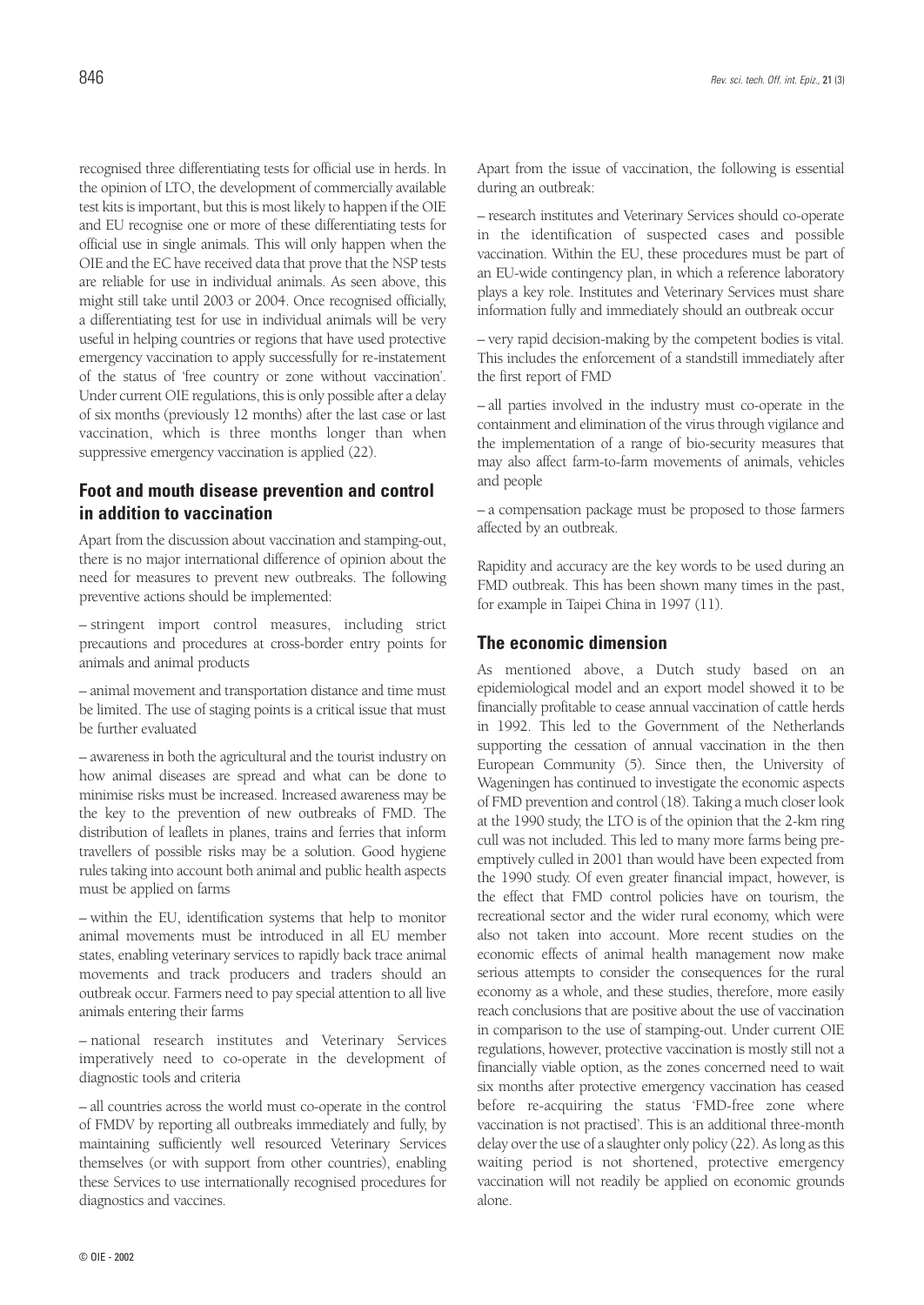recognised three differentiating tests for official use in herds. In the opinion of LTO, the development of commercially available test kits is important, but this is most likely to happen if the OIE and EU recognise one or more of these differentiating tests for official use in single animals. This will only happen when the OIE and the EC have received data that prove that the NSP tests are reliable for use in individual animals. As seen above, this might still take until 2003 or 2004. Once recognised officially, a differentiating test for use in individual animals will be very useful in helping countries or regions that have used protective emergency vaccination to apply successfully for re-instatement of the status of 'free country or zone without vaccination'. Under current OIE regulations, this is only possible after a delay of six months (previously 12 months) after the last case or last vaccination, which is three months longer than when suppressive emergency vaccination is applied (22).

## **Foot and mouth disease prevention and control in addition to vaccination**

Apart from the discussion about vaccination and stamping-out, there is no major international difference of opinion about the need for measures to prevent new outbreaks. The following preventive actions should be implemented:

– stringent import control measures, including strict precautions and procedures at cross-border entry points for animals and animal products

– animal movement and transportation distance and time must be limited. The use of staging points is a critical issue that must be further evaluated

– awareness in both the agricultural and the tourist industry on how animal diseases are spread and what can be done to minimise risks must be increased. Increased awareness may be the key to the prevention of new outbreaks of FMD. The distribution of leaflets in planes, trains and ferries that inform travellers of possible risks may be a solution. Good hygiene rules taking into account both animal and public health aspects must be applied on farms

– within the EU, identification systems that help to monitor animal movements must be introduced in all EU member states, enabling veterinary services to rapidly back trace animal movements and track producers and traders should an outbreak occur. Farmers need to pay special attention to all live animals entering their farms

– national research institutes and Veterinary Services imperatively need to co-operate in the development of diagnostic tools and criteria

– all countries across the world must co-operate in the control of FMDV by reporting all outbreaks immediately and fully, by maintaining sufficiently well resourced Veterinary Services themselves (or with support from other countries), enabling these Services to use internationally recognised procedures for diagnostics and vaccines.

Apart from the issue of vaccination, the following is essential during an outbreak:

– research institutes and Veterinary Services should co-operate in the identification of suspected cases and possible vaccination. Within the EU, these procedures must be part of an EU-wide contingency plan, in which a reference laboratory plays a key role. Institutes and Veterinary Services must share information fully and immediately should an outbreak occur

– very rapid decision-making by the competent bodies is vital. This includes the enforcement of a standstill immediately after the first report of FMD

– all parties involved in the industry must co-operate in the containment and elimination of the virus through vigilance and the implementation of a range of bio-security measures that may also affect farm-to-farm movements of animals, vehicles and people

– a compensation package must be proposed to those farmers affected by an outbreak.

Rapidity and accuracy are the key words to be used during an FMD outbreak. This has been shown many times in the past, for example in Taipei China in 1997 (11).

### **The economic dimension**

As mentioned above, a Dutch study based on an epidemiological model and an export model showed it to be financially profitable to cease annual vaccination of cattle herds in 1992. This led to the Government of the Netherlands supporting the cessation of annual vaccination in the then European Community (5). Since then, the University of Wageningen has continued to investigate the economic aspects of FMD prevention and control (18). Taking a much closer look at the 1990 study, the LTO is of the opinion that the 2-km ring cull was not included. This led to many more farms being preemptively culled in 2001 than would have been expected from the 1990 study. Of even greater financial impact, however, is the effect that FMD control policies have on tourism, the recreational sector and the wider rural economy, which were also not taken into account. More recent studies on the economic effects of animal health management now make serious attempts to consider the consequences for the rural economy as a whole, and these studies, therefore, more easily reach conclusions that are positive about the use of vaccination in comparison to the use of stamping-out. Under current OIE regulations, however, protective vaccination is mostly still not a financially viable option, as the zones concerned need to wait six months after protective emergency vaccination has ceased before re-acquiring the status 'FMD-free zone where vaccination is not practised'. This is an additional three-month delay over the use of a slaughter only policy (22). As long as this waiting period is not shortened, protective emergency vaccination will not readily be applied on economic grounds alone.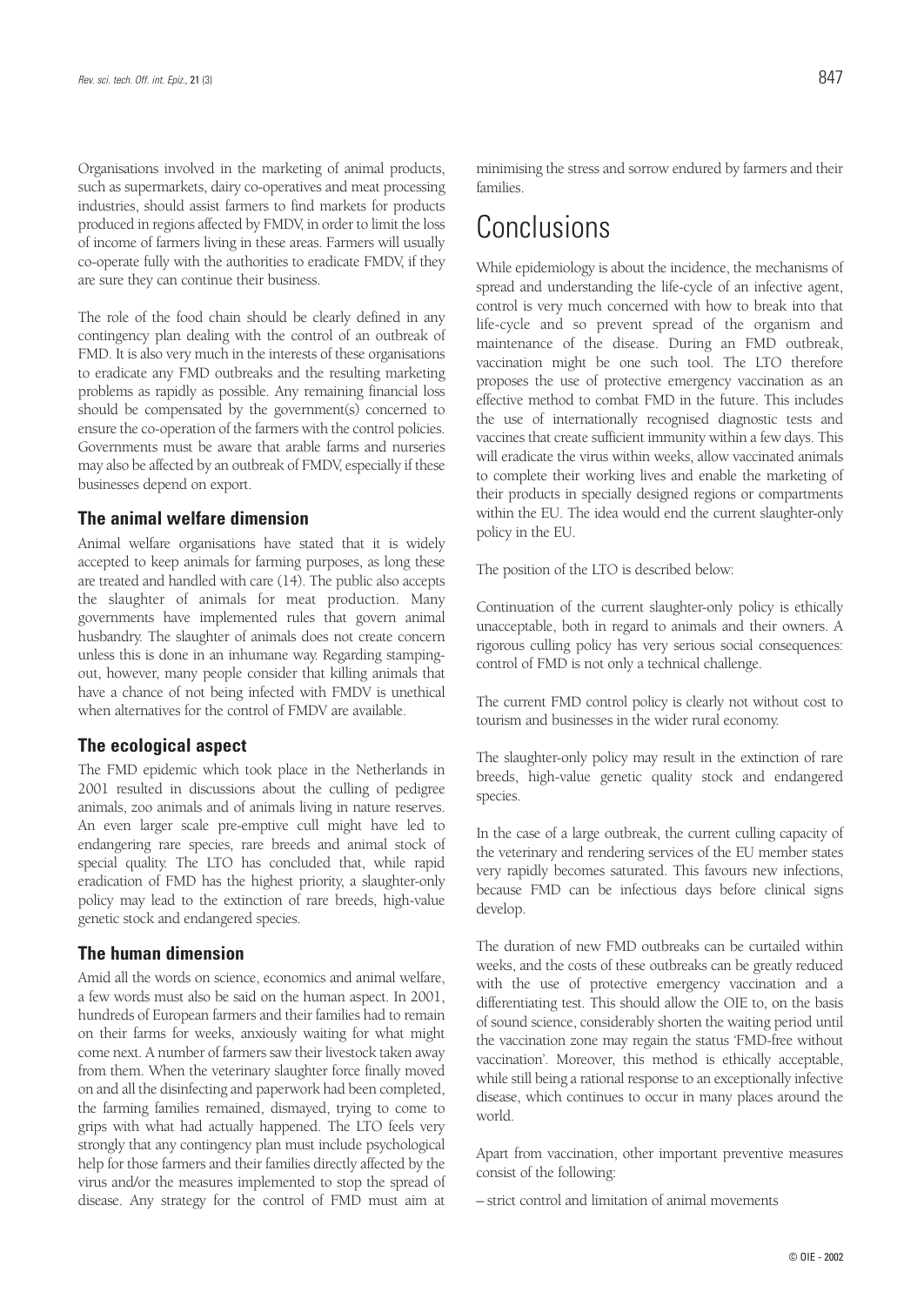Organisations involved in the marketing of animal products, such as supermarkets, dairy co-operatives and meat processing industries, should assist farmers to find markets for products produced in regions affected by FMDV, in order to limit the loss of income of farmers living in these areas. Farmers will usually co-operate fully with the authorities to eradicate FMDV, if they are sure they can continue their business.

The role of the food chain should be clearly defined in any contingency plan dealing with the control of an outbreak of FMD. It is also very much in the interests of these organisations to eradicate any FMD outbreaks and the resulting marketing problems as rapidly as possible. Any remaining financial loss should be compensated by the government(s) concerned to ensure the co-operation of the farmers with the control policies. Governments must be aware that arable farms and nurseries may also be affected by an outbreak of FMDV, especially if these businesses depend on export.

### **The animal welfare dimension**

Animal welfare organisations have stated that it is widely accepted to keep animals for farming purposes, as long these are treated and handled with care (14). The public also accepts the slaughter of animals for meat production. Many governments have implemented rules that govern animal husbandry. The slaughter of animals does not create concern unless this is done in an inhumane way. Regarding stampingout, however, many people consider that killing animals that have a chance of not being infected with FMDV is unethical when alternatives for the control of FMDV are available.

### **The ecological aspect**

The FMD epidemic which took place in the Netherlands in 2001 resulted in discussions about the culling of pedigree animals, zoo animals and of animals living in nature reserves. An even larger scale pre-emptive cull might have led to endangering rare species, rare breeds and animal stock of special quality. The LTO has concluded that, while rapid eradication of FMD has the highest priority, a slaughter-only policy may lead to the extinction of rare breeds, high-value genetic stock and endangered species.

### **The human dimension**

Amid all the words on science, economics and animal welfare, a few words must also be said on the human aspect. In 2001, hundreds of European farmers and their families had to remain on their farms for weeks, anxiously waiting for what might come next. A number of farmers saw their livestock taken away from them. When the veterinary slaughter force finally moved on and all the disinfecting and paperwork had been completed, the farming families remained, dismayed, trying to come to grips with what had actually happened. The LTO feels very strongly that any contingency plan must include psychological help for those farmers and their families directly affected by the virus and/or the measures implemented to stop the spread of disease. Any strategy for the control of FMD must aim at

minimising the stress and sorrow endured by farmers and their families.

## **Conclusions**

While epidemiology is about the incidence, the mechanisms of spread and understanding the life-cycle of an infective agent, control is very much concerned with how to break into that life-cycle and so prevent spread of the organism and maintenance of the disease. During an FMD outbreak, vaccination might be one such tool. The LTO therefore proposes the use of protective emergency vaccination as an effective method to combat FMD in the future. This includes the use of internationally recognised diagnostic tests and vaccines that create sufficient immunity within a few days. This will eradicate the virus within weeks, allow vaccinated animals to complete their working lives and enable the marketing of their products in specially designed regions or compartments within the EU. The idea would end the current slaughter-only policy in the EU.

The position of the LTO is described below:

Continuation of the current slaughter-only policy is ethically unacceptable, both in regard to animals and their owners. A rigorous culling policy has very serious social consequences: control of FMD is not only a technical challenge.

The current FMD control policy is clearly not without cost to tourism and businesses in the wider rural economy.

The slaughter-only policy may result in the extinction of rare breeds, high-value genetic quality stock and endangered species.

In the case of a large outbreak, the current culling capacity of the veterinary and rendering services of the EU member states very rapidly becomes saturated. This favours new infections, because FMD can be infectious days before clinical signs develop.

The duration of new FMD outbreaks can be curtailed within weeks, and the costs of these outbreaks can be greatly reduced with the use of protective emergency vaccination and a differentiating test. This should allow the OIE to, on the basis of sound science, considerably shorten the waiting period until the vaccination zone may regain the status 'FMD-free without vaccination'. Moreover, this method is ethically acceptable, while still being a rational response to an exceptionally infective disease, which continues to occur in many places around the world.

Apart from vaccination, other important preventive measures consist of the following:

– strict control and limitation of animal movements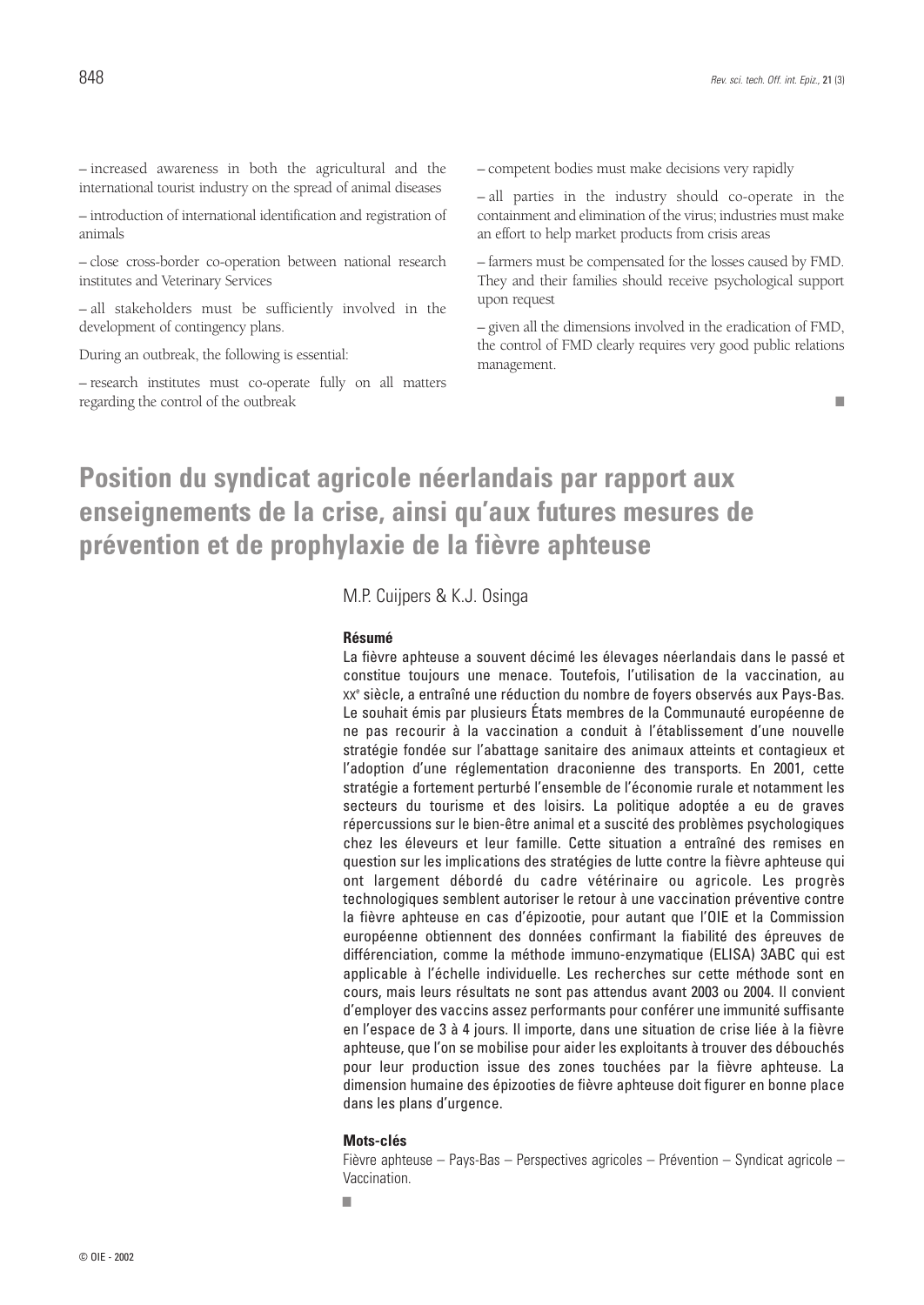– increased awareness in both the agricultural and the international tourist industry on the spread of animal diseases

– introduction of international identification and registration of animals

– close cross-border co-operation between national research institutes and Veterinary Services

– all stakeholders must be sufficiently involved in the development of contingency plans.

During an outbreak, the following is essential:

– research institutes must co-operate fully on all matters regarding the control of the outbreak

– competent bodies must make decisions very rapidly

– all parties in the industry should co-operate in the containment and elimination of the virus; industries must make an effort to help market products from crisis areas

– farmers must be compensated for the losses caused by FMD. They and their families should receive psychological support upon request

– given all the dimensions involved in the eradication of FMD, the control of FMD clearly requires very good public relations management.

■

## **Position du syndicat agricole néerlandais par rapport aux enseignements de la crise, ainsi qu'aux futures mesures de prévention et de prophylaxie de la fièvre aphteuse**

M.P. Cuijpers & K.J. Osinga

#### **Résumé**

La fièvre aphteuse a souvent décimé les élevages néerlandais dans le passé et constitue toujours une menace. Toutefois, l'utilisation de la vaccination, au XX<sup>e</sup> siècle, a entraîné une réduction du nombre de foyers observés aux Pays-Bas. Le souhait émis par plusieurs États membres de la Communauté européenne de ne pas recourir à la vaccination a conduit à l'établissement d'une nouvelle stratégie fondée sur l'abattage sanitaire des animaux atteints et contagieux et l'adoption d'une réglementation draconienne des transports. En 2001, cette stratégie a fortement perturbé l'ensemble de l'économie rurale et notamment les secteurs du tourisme et des loisirs. La politique adoptée a eu de graves répercussions sur le bien-être animal et a suscité des problèmes psychologiques chez les éleveurs et leur famille. Cette situation a entraîné des remises en question sur les implications des stratégies de lutte contre la fièvre aphteuse qui ont largement débordé du cadre vétérinaire ou agricole. Les progrès technologiques semblent autoriser le retour à une vaccination préventive contre la fièvre aphteuse en cas d'épizootie, pour autant que l'OIE et la Commission européenne obtiennent des données confirmant la fiabilité des épreuves de différenciation, comme la méthode immuno-enzymatique (ELISA) 3ABC qui est applicable à l'échelle individuelle. Les recherches sur cette méthode sont en cours, mais leurs résultats ne sont pas attendus avant 2003 ou 2004. Il convient d'employer des vaccins assez performants pour conférer une immunité suffisante en l'espace de 3 à 4 jours. Il importe, dans une situation de crise liée à la fièvre aphteuse, que l'on se mobilise pour aider les exploitants à trouver des débouchés pour leur production issue des zones touchées par la fièvre aphteuse. La dimension humaine des épizooties de fièvre aphteuse doit figurer en bonne place dans les plans d'urgence.

#### **Mots-clés**

Fièvre aphteuse – Pays-Bas – Perspectives agricoles – Prévention – Syndicat agricole – Vaccination.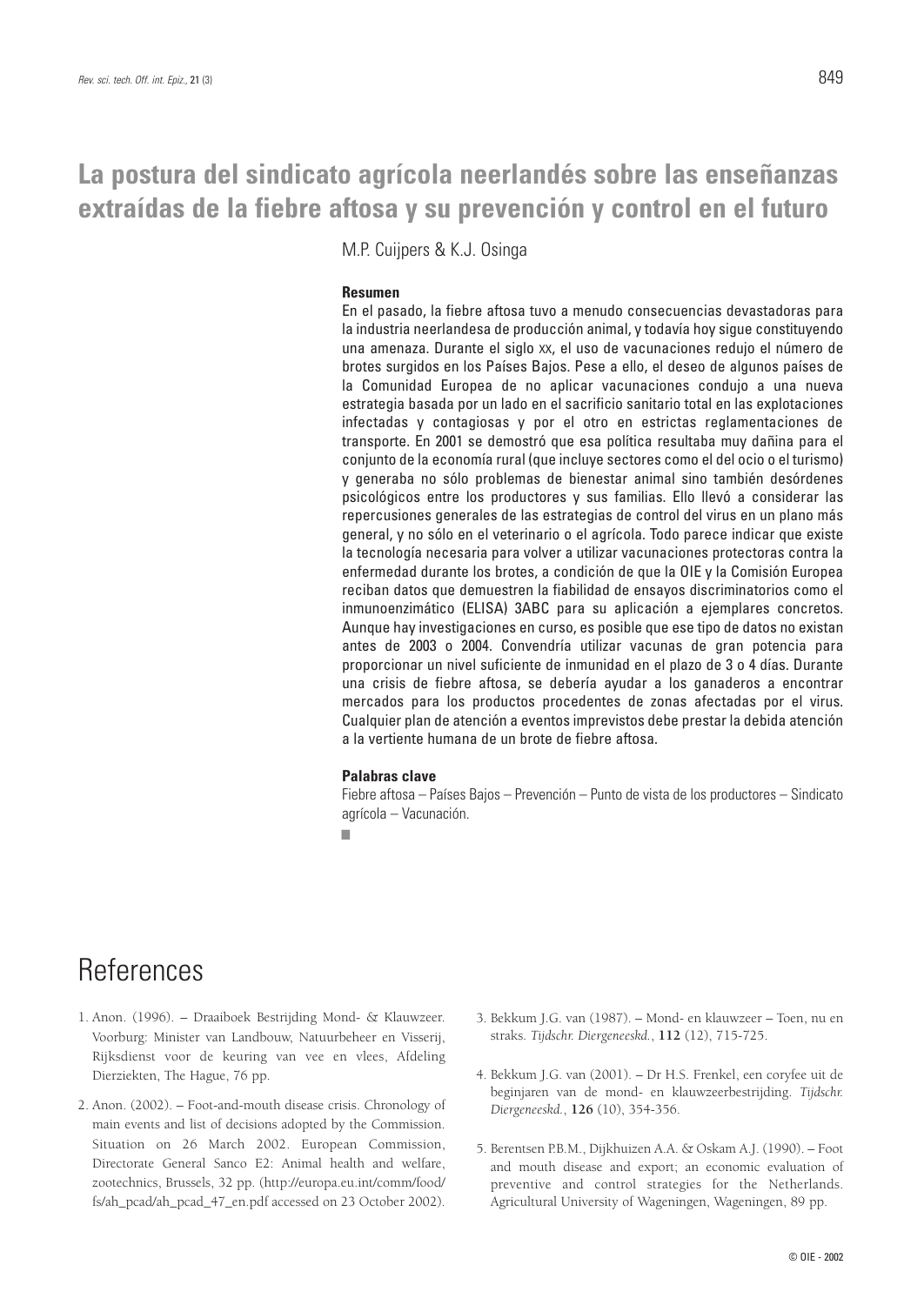## **La postura del sindicato agrícola neerlandés sobre las enseñanzas extraídas de la fiebre aftosa y su prevención y control en el futuro**

M.P. Cuijpers & K.J. Osinga

### **Resumen**

En el pasado, la fiebre aftosa tuvo a menudo consecuencias devastadoras para la industria neerlandesa de producción animal, y todavía hoy sigue constituyendo una amenaza. Durante el siglo XX, el uso de vacunaciones redujo el número de brotes surgidos en los Países Bajos. Pese a ello, el deseo de algunos países de la Comunidad Europea de no aplicar vacunaciones condujo a una nueva estrategia basada por un lado en el sacrificio sanitario total en las explotaciones infectadas y contagiosas y por el otro en estrictas reglamentaciones de transporte. En 2001 se demostró que esa política resultaba muy dañina para el conjunto de la economía rural (que incluye sectores como el del ocio o el turismo) y generaba no sólo problemas de bienestar animal sino también desórdenes psicológicos entre los productores y sus familias. Ello llevó a considerar las repercusiones generales de las estrategias de control del virus en un plano más general, y no sólo en el veterinario o el agrícola. Todo parece indicar que existe la tecnología necesaria para volver a utilizar vacunaciones protectoras contra la enfermedad durante los brotes, a condición de que la OIE y la Comisión Europea reciban datos que demuestren la fiabilidad de ensayos discriminatorios como el inmunoenzimático (ELISA) 3ABC para su aplicación a ejemplares concretos. Aunque hay investigaciones en curso, es posible que ese tipo de datos no existan antes de 2003 o 2004. Convendría utilizar vacunas de gran potencia para proporcionar un nivel suficiente de inmunidad en el plazo de 3 o 4 días. Durante una crisis de fiebre aftosa, se debería ayudar a los ganaderos a encontrar mercados para los productos procedentes de zonas afectadas por el virus. Cualquier plan de atención a eventos imprevistos debe prestar la debida atención a la vertiente humana de un brote de fiebre aftosa.

### **Palabras clave**

Fiebre aftosa – Países Bajos – Prevención – Punto de vista de los productores – Sindicato agrícola – Vacunación.

■

## **References**

- 1. Anon. (1996). Draaiboek Bestrijding Mond- & Klauwzeer. Voorburg: Minister van Landbouw, Natuurbeheer en Visserij, Rijksdienst voor de keuring van vee en vlees, Afdeling Dierziekten, The Hague, 76 pp.
- 2. Anon. (2002). Foot-and-mouth disease crisis. Chronology of main events and list of decisions adopted by the Commission. Situation on 26 March 2002. European Commission, Directorate General Sanco E2: Animal health and welfare, zootechnics, Brussels, 32 pp. (http://europa.eu.int/comm/food/ fs/ah\_pcad/ah\_pcad\_47\_en.pdf accessed on 23 October 2002).
- 3. Bekkum J.G. van (1987). Mond- en klauwzeer Toen, nu en straks. *Tijdschr. Diergeneeskd.*, **112** (12), 715-725.
- 4. Bekkum J.G. van (2001). Dr H.S. Frenkel, een coryfee uit de beginjaren van de mond- en klauwzeerbestrijding. *Tijdschr. Diergeneeskd.*, **126** (10), 354-356.
- 5. Berentsen P.B.M., Dijkhuizen A.A. & Oskam A.J. (1990). Foot and mouth disease and export; an economic evaluation of preventive and control strategies for the Netherlands. Agricultural University of Wageningen, Wageningen, 89 pp.